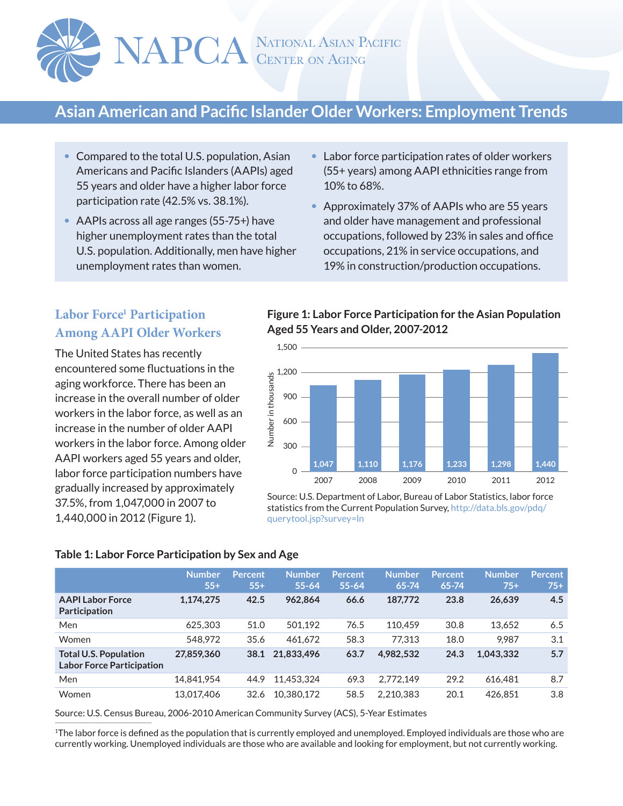

# **Asian American and Pacific Islander Older Workers: Employment Trends**

- Compared to the total U.S. population, Asian Americans and Pacific Islanders (AAPIs) aged 55 years and older have a higher labor force participation rate (42.5% vs. 38.1%).
- AAPIs across all age ranges (55-75+) have higher unemployment rates than the total U.S. population. Additionally, men have higher unemployment rates than women.
- Labor force participation rates of older workers (55+ years) among AAPI ethnicities range from 10% to 68%.
- Approximately 37% of AAPIs who are 55 years and older have management and professional occupations, followed by 23% in sales and office occupations, 21% in service occupations, and 19% in construction/production occupations.

# **Labor Force1 Participation Among AAPI Older Workers**

The United States has recently encountered some fluctuations in the aging workforce. There has been an increase in the overall number of older workers in the labor force, as well as an increase in the number of older AAPI workers in the labor force. Among older AAPI workers aged 55 years and older, labor force participation numbers have gradually increased by approximately 37.5%, from 1,047,000 in 2007 to 1,440,000 in 2012 (Figure 1).

## **Figure 1: Labor Force Participation for the Asian Population Aged 55 Years and Older, 2007-2012**



Source: U.S. Department of Labor, Bureau of Labor Statistics, labor force statistics from the Current Population Survey, http://data.bls.gov/pdq/ querytool.jsp?survey=ln

#### **Table 1: Labor Force Participation by Sex and Age**

|                                                                  | <b>Number</b><br>$55+$ | <b>Percent</b><br>$55+$ | <b>Number</b><br>$55 - 64$ | <b>Percent</b><br>$55 - 64$ | <b>Number</b><br>$65 - 74$ | Percent<br>$65 - 74$ | <b>Number</b><br>$75+$ | <b>Percent</b><br>$75+$ |
|------------------------------------------------------------------|------------------------|-------------------------|----------------------------|-----------------------------|----------------------------|----------------------|------------------------|-------------------------|
| <b>AAPI Labor Force</b><br><b>Participation</b>                  | 1,174,275              | 42.5                    | 962.864                    | 66.6                        | 187,772                    | 23.8                 | 26,639                 | 4.5                     |
| Men                                                              | 625.303                | 51.0                    | 501.192                    | 76.5                        | 110.459                    | 30.8                 | 13,652                 | 6.5                     |
| Women                                                            | 548.972                | 35.6                    | 461.672                    | 58.3                        | 77.313                     | 18.0                 | 9.987                  | 3.1                     |
| <b>Total U.S. Population</b><br><b>Labor Force Participation</b> | 27.859.360             | 38.1                    | 21.833.496                 | 63.7                        | 4.982.532                  | 24.3                 | 1.043.332              | 5.7                     |
| Men                                                              | 14,841,954             | 44.9                    | 11.453.324                 | 69.3                        | 2,772,149                  | 29.2                 | 616.481                | 8.7                     |
| Women                                                            | 13.017.406             | 32.6                    | 10.380.172                 | 58.5                        | 2.210.383                  | 20.1                 | 426.851                | 3.8                     |

 $\mathcal{L}_\text{max}$ Source: U.S. Census Bureau, 2006-2010 American Community Survey (ACS), 5-Year Estimates

<sup>1</sup>The labor force is defined as the population that is currently employed and unemployed. Employed individuals are those who are currently working. Unemployed individuals are those who are available and looking for employment, but not currently working.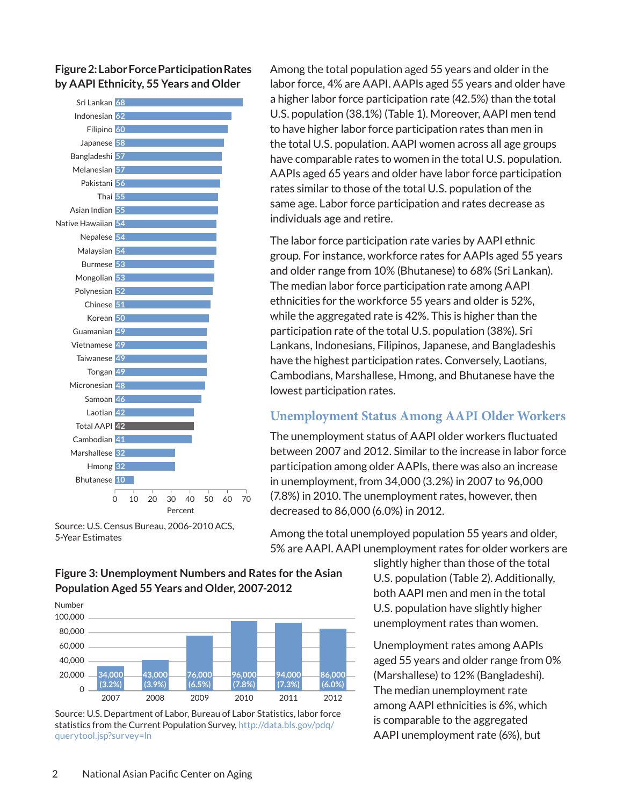**Figure 2: Labor Force Participation Rates by AAPI Ethnicity, 55 Years and Older**



Source: U.S. Census Bureau, 2006-2010 ACS, 5-Year Estimates

Among the total population aged 55 years and older in the labor force, 4% are AAPI. AAPIs aged 55 years and older have a higher labor force participation rate (42.5%) than the total U.S. population (38.1%) (Table 1). Moreover, AAPI men tend to have higher labor force participation rates than men in the total U.S. population. AAPI women across all age groups have comparable rates to women in the total U.S. population. AAPIs aged 65 years and older have labor force participation rates similar to those of the total U.S. population of the same age. Labor force participation and rates decrease as individuals age and retire.

The labor force participation rate varies by AAPI ethnic group. For instance, workforce rates for AAPIs aged 55 years and older range from 10% (Bhutanese) to 68% (Sri Lankan). The median labor force participation rate among AAPI ethnicities for the workforce 55 years and older is 52%, while the aggregated rate is 42%. This is higher than the participation rate of the total U.S. population (38%). Sri Lankans, Indonesians, Filipinos, Japanese, and Bangladeshis have the highest participation rates. Conversely, Laotians, Cambodians, Marshallese, Hmong, and Bhutanese have the lowest participation rates.

# **Unemployment Status Among AAPI Older Workers**

The unemployment status of AAPI older workers fluctuated between 2007 and 2012. Similar to the increase in labor force participation among older AAPIs, there was also an increase in unemployment, from 34,000 (3.2%) in 2007 to 96,000 (7.8%) in 2010. The unemployment rates, however, then decreased to 86,000 (6.0%) in 2012.

Among the total unemployed population 55 years and older, 5% are AAPI. AAPI unemployment rates for older workers are

> slightly higher than those of the total U.S. population (Table 2). Additionally, both AAPI men and men in the total U.S. population have slightly higher unemployment rates than women.

Unemployment rates among AAPIs aged 55 years and older range from 0% (Marshallese) to 12% (Bangladeshi). The median unemployment rate among AAPI ethnicities is 6%, which is comparable to the aggregated AAPI unemployment rate (6%), but

**Figure 3: Unemployment Numbers and Rates for the Asian Population Aged 55 Years and Older, 2007-2012**



Source: U.S. Department of Labor, Bureau of Labor Statistics, labor force statistics from the Current Population Survey, http://data.bls.gov/pdq/ querytool.jsp?survey=ln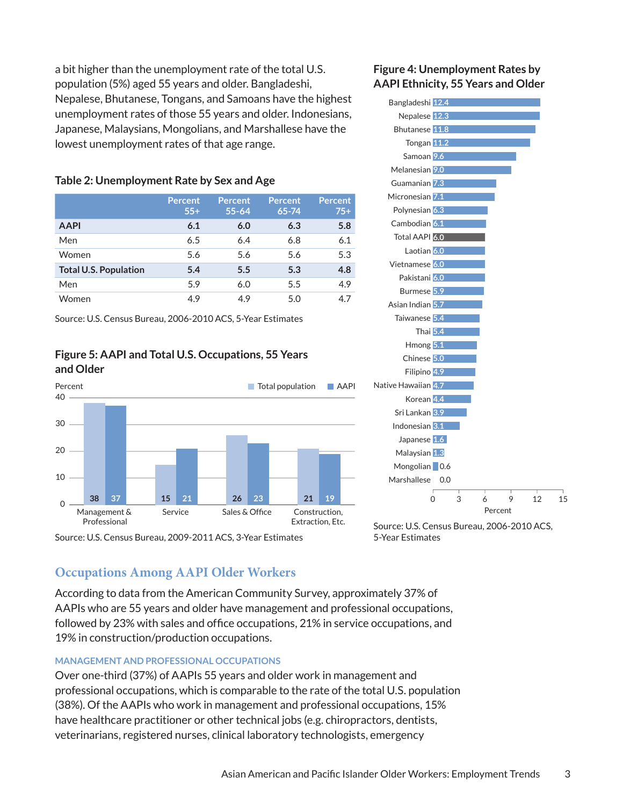a bit higher than the unemployment rate of the total U.S. population (5%) aged 55 years and older. Bangladeshi, Nepalese, Bhutanese, Tongans, and Samoans have the highest unemployment rates of those 55 years and older. Indonesians, Japanese, Malaysians, Mongolians, and Marshallese have the lowest unemployment rates of that age range.

### **Table 2: Unemployment Rate by Sex and Age**

|                              | <b>Percent</b><br>$55+$ | <b>Percent</b><br>$55 - 64$ | <b>Percent</b><br>65-74 | <b>Percent</b><br>$75+$ |
|------------------------------|-------------------------|-----------------------------|-------------------------|-------------------------|
| <b>AAPI</b>                  | 6.1                     | 6.0                         | 6.3                     | 5.8                     |
| Men                          | 6.5                     | 6.4                         | 6.8                     | 6.1                     |
| Women                        | 5.6                     | 5.6                         | 5.6                     | 5.3                     |
| <b>Total U.S. Population</b> | 5.4                     | 5.5                         | 5.3                     | 4.8                     |
| Men                          | 5.9                     | 6.0                         | 5.5                     | 4.9                     |
| Women                        | 4.9                     | 4.9                         | 5.0                     | 4.7                     |

Source: U.S. Census Bureau, 2006-2010 ACS, 5-Year Estimates

### **Figure 5: AAPI and Total U.S. Occupations, 55 Years and Older**



Source: U.S. Census Bureau, 2009-2011 ACS, 3-Year Estimates

### **Figure 4: Unemployment Rates by AAPI Ethnicity, 55 Years and Older**



Source: U.S. Census Bureau, 2006-2010 ACS, 5-Year Estimates

# **Occupations Among AAPI Older Workers**

According to data from the American Community Survey, approximately 37% of AAPIs who are 55 years and older have management and professional occupations, followed by 23% with sales and office occupations, 21% in service occupations, and 19% in construction/production occupations.

#### **Management and Professional Occupations**

Over one-third (37%) of AAPIs 55 years and older work in management and professional occupations, which is comparable to the rate of the total U.S. population (38%). Of the AAPIs who work in management and professional occupations, 15% have healthcare practitioner or other technical jobs (e.g. chiropractors, dentists, veterinarians, registered nurses, clinical laboratory technologists, emergency